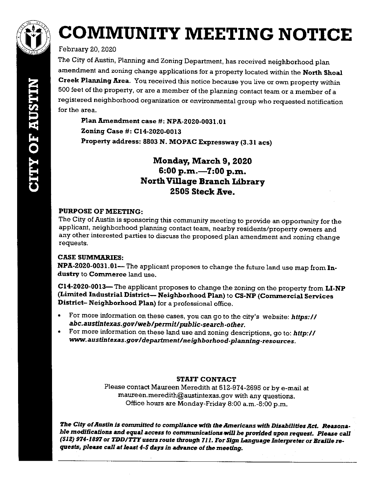

# **COMMUNITY MEETING NOTICE**

#### February 20, 2020

The City of Austin, Planning and Zoning Department, has received neighborhood plan amendment and zoning change applications for a property located within the **North Shoal Creek Planning Area.** You received this notice because you live or own property within 500 feet of the property, or are a member of the planning contact team or a member of a registered neighborhood organization or environmental group who requested notification for the area.

**Plan Amendment case#: NPA-2020-0031.0l Zoning Case#: Cl4-2020-0013 Property address: 8803 N. MOPAC Expressway (3.31 acs)** 

### **Monday, March 9, 2020 6:00 p.m.-7:00 p.m. North Village Branch Library 2505 Steck Ave.**

#### **PURPOSE OF MEETING:**

The City of Austin is sponsoring this community meeting to provide an opportunity for the applicant, neighborhood planning contact team, nearby residents/property owners and any other interested parties to discuss the proposed plan amendment and zoning change requests.

#### **CASE SUMMARIES:**

**NPA-2020-0031.01—** The applicant proposes to change the future land use map from In**dustry** to **Commerce** land use.

**Cl4-2020-0013-The** applicant proposes to change the zoning on the property from **LI-NP (Limited Industrial District- Neighborhood Plan)** to **CS-NP (Commercial Services District- Neighborhood Plan)** for a professional office.

- For more information on these cases, you can go to the city's website: *https:/1 abc.austintexas.govlweblpermitlpublic-search-other.*
- For more information on these land use and zoning descriptions, go to: *http:// www.austintexas.gov/departrnentlneighborhood-planning-resources.*

#### **STAFF CONTACT**

Please contact Maureen Meredith at 512-974-2695 or by e-mail at maureen.meredith@austintexas.gov with any questions. Office hours are Monday-Friday 8:00 a.m.-5:00 p.m.

*The City of Austin is committed to compliance with the Americans with Disabilities Act.* **Reasona***ble modifications* **and** *equal access to communications* **will** *be provided upon request. Please call (SlZ) 974-1897* **or** *TDD/TTY users route through 711. For Sign Language Interpreter* **or** *Braille requests, please call* **at** *least 4-5 days in advance of the meeting.*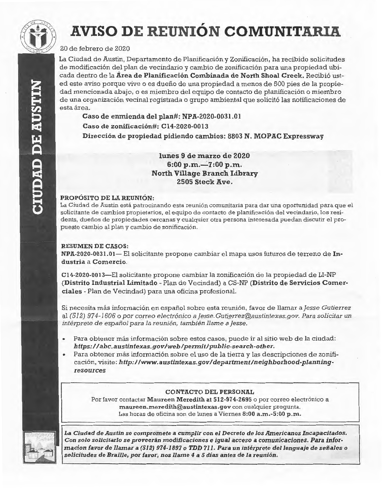

## **AVISO DE REUNI6N COMUNITARIA**

#### 20 de febrero de 2020

La Ciudad de Austin, Departamento de Planificación y Zonificación, ha recibido solicitudes de modificación del plan de vecindario y cambio de zonificación para una propiedad ubicada dentro de la **Area de Planificacion Combinada de North Shoal Creek.** Recibi6 usted este aviso porque vive o es dueno de una propiedad a menos de 500 pies de la propiedad mencionada abajo, o es miembro del equipo de contacto de planificaci6n o miembro de una organizaci6n vecinal registrada o grupo ambiental que solicit6 las notificaciones de esta área.

**Caso de enmienda del plan#: NPA-2020-0031.01 Caso de zonificacion#: Cl4-2020-0013 Direccion de propiedad pidiendo cambios: 8803 N. MOPAC Expressway** 

#### **lunes 9 de marzo de 2020 6:00 p.m.-7:00 p.m. North Village Branch Library 2505 Steck Ave.**

#### **PROPOSITO DE LA REUNION:**

La Ciudad de Austin está patrocinando esta reunión comunitaria para dar una oportunidad para que el solicitante de cambios propietarios, el equipo de contacto de planificacion del vecindario, los residents, dueños de propiedades cercanas y cualquier otra persona interesada puedan discutir el propuesto cambio al plan y cambio de zonificación.

#### **RESUMEN DE CASOS:**

**NPA-2020-0031.01-** El solicitante propone cambiar el mapa usos futures de terreno de **Industria** a **Comercio.** 

**C14-2020-0013-El** solicitante propone carnbiar la zonificaci6n de la propiedad de LI-NP **(Distrito Industrial Limitado** - Plan de Vecindad) a CS-NP **(Distrito de Servicios Comerciales** - Plan de Vecindad) para una oficina profesional.

Si necesita mas informaci6n en espafiol sobre esta reunion, favor de Hamar a *Jesse Gutierrez*  al (512) 974-1606 o por correo electrónico a Jesse.Gutierrez@austintexas.gov. Para solicitar un *interprete de espaiiol para la reunion, tambien llame a Jesse.* 

- Para obtener mas informaci6n sobre estos casos, puede ir al sitio web de la ciudad: *https:* I I *abc. austintexas.govlweblpennitlpublic-search-other.*
- Para obtener más información sobre el uso de la tierra y las descripciones de zonificación, visite: http://www.austintexas.gov/department/neighborhood-planning*resources*

#### **CONTACTO DEL PERSONAL**

Por favor contactar Maureen Meredith at 512-974-2695 o por correo electrónico a **maureen.meredith@austintexas.gov** con cualquier pregunta. Las horas de oficina son de lunes a Viernes **8:00 a.m.-5:00 p.m.** 



La Ciudad de Austin se compromete a cumplir con el Decreto de los Americanos Incapacitados. *Con solo solicitarlo se proveeran modilicaciones e igual acceso* **a** *comunicaciones. Para infor***macion** *favor de llamar* **a** *(S12) 914-1891 o TDD 111. Para* **un** *interprete del lenguaje de seiiales* **o**  *solicitudes de Braille, por favor,* **nos** *Uame 4* **a** *S dias antes de la reuni6n.*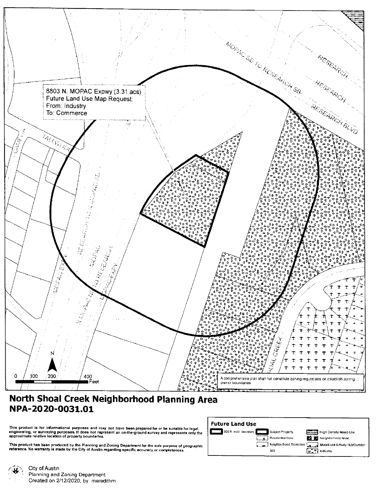

### North Shoal Creek Neighborhood Planning Area NPA-2020-0031.01

This product is for informational purposes and may not have been prepared for or be suitable for legal,<br>engineering, or surveying purposes. It does not represent an on-the-ground survey and represents only the<br>approximate

This product has been produced by the Planning and Zoning Department for the sole purpose of geographic reference. No warranty is made by the City of Austin regarding specific accuracy or completeness.